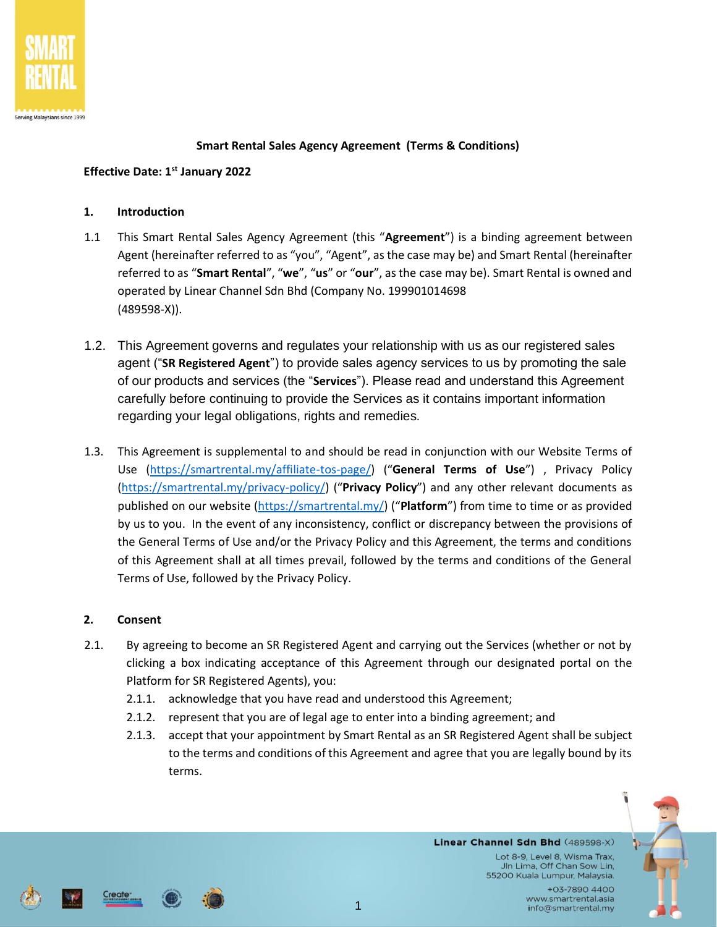# **Smart Rental Sales Agency Agreement (Terms & Conditions)**

### **Effective Date: 1st January 2022**

### **1. Introduction**

- 1.1 This Smart Rental Sales Agency Agreement (this "**Agreement**") is a binding agreement between Agent (hereinafter referred to as "you", "Agent", as the case may be) and Smart Rental (hereinafter referred to as "**Smart Rental**", "**we**", "**us**" or "**our**", as the case may be). Smart Rental is owned and operated by Linear Channel Sdn Bhd (Company No. 199901014698 (489598-X)).
- 1.2. This Agreement governs and regulates your relationship with us as our registered sales agent ("**SR Registered Agent**") to provide sales agency services to us by promoting the sale of our products and services (the "**Services**"). Please read and understand this Agreement carefully before continuing to provide the Services as it contains important information regarding your legal obligations, rights and remedies.
- 1.3. This Agreement is supplemental to and should be read in conjunction with our Website Terms of Use [\(https://smartrental.my/affiliate-tos-page/\)](https://smartrental.my/affiliate-tos-page/) ("**General Terms of Use**") , Privacy Policy [\(https://smartrental.my/privacy-policy/\)](https://smartrental.my/privacy-policy/) ("**Privacy Policy**") and any other relevant documents as published on our website [\(https://smartrental.my/\)](https://smartrental.my/) ("**Platform**") from time to time or as provided by us to you. In the event of any inconsistency, conflict or discrepancy between the provisions of the General Terms of Use and/or the Privacy Policy and this Agreement, the terms and conditions of this Agreement shall at all times prevail, followed by the terms and conditions of the General Terms of Use, followed by the Privacy Policy.

# **2. Consent**

- 2.1. By agreeing to become an SR Registered Agent and carrying out the Services (whether or not by clicking a box indicating acceptance of this Agreement through our designated portal on the Platform for SR Registered Agents), you:
	- 2.1.1. acknowledge that you have read and understood this Agreement;
	- 2.1.2. represent that you are of legal age to enter into a binding agreement; and
	- 2.1.3. accept that your appointment by Smart Rental as an SR Registered Agent shall be subject to the terms and conditions of this Agreement and agree that you are legally bound by its terms.



Linear Channel Sdn Bhd (489598-X)

Lot 8-9, Level 8, Wisma Trax, Jln Lima, Off Chan Sow Lin, 55200 Kuala Lumpur, Malaysia.

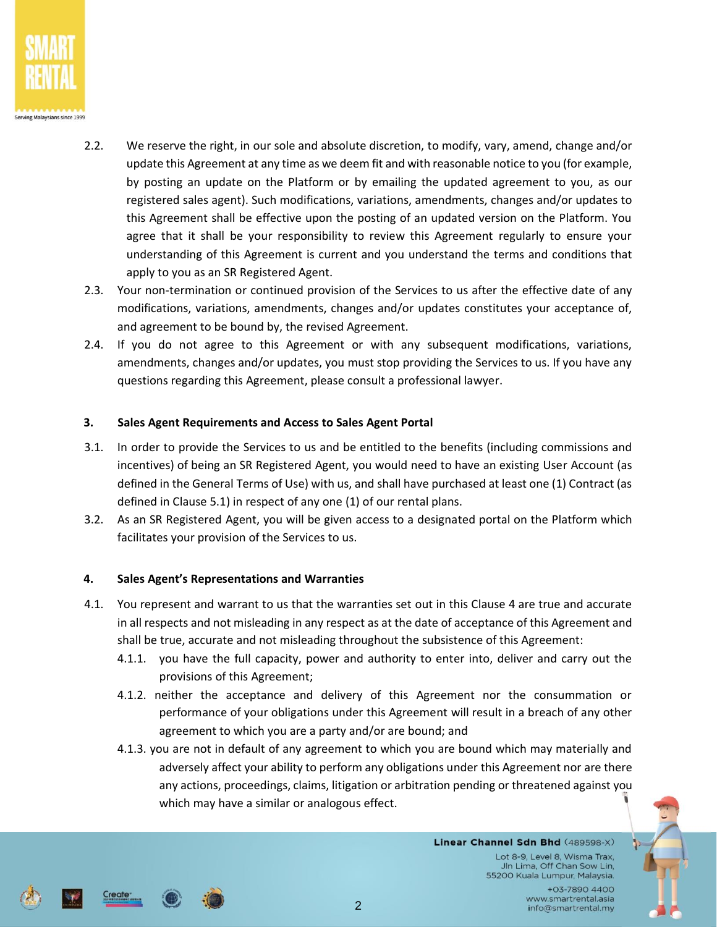

- 2.2. We reserve the right, in our sole and absolute discretion, to modify, vary, amend, change and/or update this Agreement at any time as we deem fit and with reasonable notice to you (for example, by posting an update on the Platform or by emailing the updated agreement to you, as our registered sales agent). Such modifications, variations, amendments, changes and/or updates to this Agreement shall be effective upon the posting of an updated version on the Platform. You agree that it shall be your responsibility to review this Agreement regularly to ensure your understanding of this Agreement is current and you understand the terms and conditions that apply to you as an SR Registered Agent.
- 2.3. Your non-termination or continued provision of the Services to us after the effective date of any modifications, variations, amendments, changes and/or updates constitutes your acceptance of, and agreement to be bound by, the revised Agreement.
- 2.4. If you do not agree to this Agreement or with any subsequent modifications, variations, amendments, changes and/or updates, you must stop providing the Services to us. If you have any questions regarding this Agreement, please consult a professional lawyer.

# **3. Sales Agent Requirements and Access to Sales Agent Portal**

- 3.1. In order to provide the Services to us and be entitled to the benefits (including commissions and incentives) of being an SR Registered Agent, you would need to have an existing User Account (as defined in the General Terms of Use) with us, and shall have purchased at least one (1) Contract (as defined in Clause 5.1) in respect of any one (1) of our rental plans.
- 3.2. As an SR Registered Agent, you will be given access to a designated portal on the Platform which facilitates your provision of the Services to us.

# **4. Sales Agent's Representations and Warranties**

- 4.1. You represent and warrant to us that the warranties set out in this Clause 4 are true and accurate in all respects and not misleading in any respect as at the date of acceptance of this Agreement and shall be true, accurate and not misleading throughout the subsistence of this Agreement:
	- 4.1.1. you have the full capacity, power and authority to enter into, deliver and carry out the provisions of this Agreement;
	- 4.1.2. neither the acceptance and delivery of this Agreement nor the consummation or performance of your obligations under this Agreement will result in a breach of any other agreement to which you are a party and/or are bound; and
	- 4.1.3. you are not in default of any agreement to which you are bound which may materially and adversely affect your ability to perform any obligations under this Agreement nor are there any actions, proceedings, claims, litigation or arbitration pending or threatened against you which may have a similar or analogous effect.



Linear Channel Sdn Bhd (489598-X)

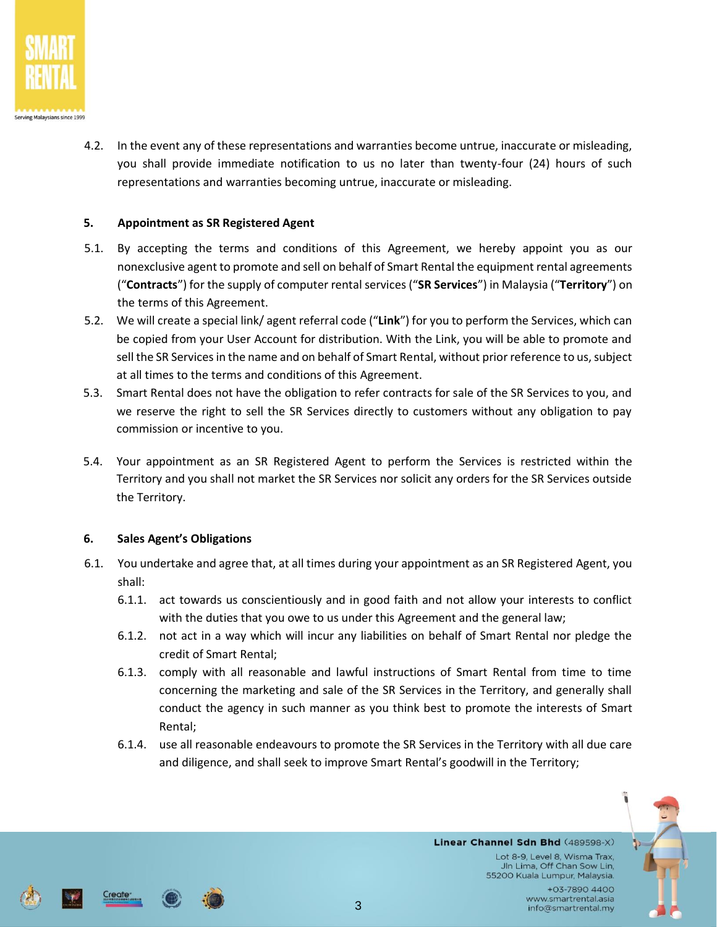

4.2. In the event any of these representations and warranties become untrue, inaccurate or misleading, you shall provide immediate notification to us no later than twenty-four (24) hours of such representations and warranties becoming untrue, inaccurate or misleading.

# **5. Appointment as SR Registered Agent**

- 5.1. By accepting the terms and conditions of this Agreement, we hereby appoint you as our nonexclusive agent to promote and sell on behalf of Smart Rental the equipment rental agreements ("**Contracts**") for the supply of computer rental services ("**SR Services**") in Malaysia ("**Territory**") on the terms of this Agreement.
- 5.2. We will create a special link/ agent referral code ("**Link**") for you to perform the Services, which can be copied from your User Account for distribution. With the Link, you will be able to promote and sell the SR Services in the name and on behalf of Smart Rental, without prior reference to us, subject at all times to the terms and conditions of this Agreement.
- 5.3. Smart Rental does not have the obligation to refer contracts for sale of the SR Services to you, and we reserve the right to sell the SR Services directly to customers without any obligation to pay commission or incentive to you.
- 5.4. Your appointment as an SR Registered Agent to perform the Services is restricted within the Territory and you shall not market the SR Services nor solicit any orders for the SR Services outside the Territory.

#### **6. Sales Agent's Obligations**

- 6.1. You undertake and agree that, at all times during your appointment as an SR Registered Agent, you shall:
	- 6.1.1. act towards us conscientiously and in good faith and not allow your interests to conflict with the duties that you owe to us under this Agreement and the general law;
	- 6.1.2. not act in a way which will incur any liabilities on behalf of Smart Rental nor pledge the credit of Smart Rental;
	- 6.1.3. comply with all reasonable and lawful instructions of Smart Rental from time to time concerning the marketing and sale of the SR Services in the Territory, and generally shall conduct the agency in such manner as you think best to promote the interests of Smart Rental;
	- 6.1.4. use all reasonable endeavours to promote the SR Services in the Territory with all due care and diligence, and shall seek to improve Smart Rental's goodwill in the Territory;



Linear Channel Sdn Bhd (489598-X)

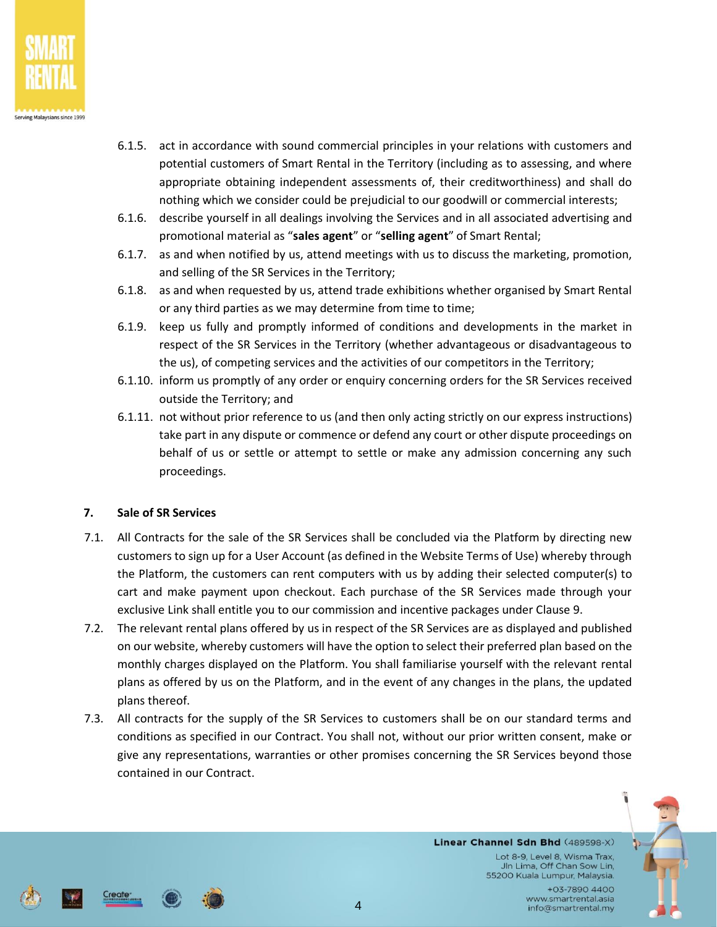

- 6.1.5. act in accordance with sound commercial principles in your relations with customers and potential customers of Smart Rental in the Territory (including as to assessing, and where appropriate obtaining independent assessments of, their creditworthiness) and shall do nothing which we consider could be prejudicial to our goodwill or commercial interests;
- 6.1.6. describe yourself in all dealings involving the Services and in all associated advertising and promotional material as "**sales agent**" or "**selling agent**" of Smart Rental;
- 6.1.7. as and when notified by us, attend meetings with us to discuss the marketing, promotion, and selling of the SR Services in the Territory;
- 6.1.8. as and when requested by us, attend trade exhibitions whether organised by Smart Rental or any third parties as we may determine from time to time;
- 6.1.9. keep us fully and promptly informed of conditions and developments in the market in respect of the SR Services in the Territory (whether advantageous or disadvantageous to the us), of competing services and the activities of our competitors in the Territory;
- 6.1.10. inform us promptly of any order or enquiry concerning orders for the SR Services received outside the Territory; and
- 6.1.11. not without prior reference to us (and then only acting strictly on our express instructions) take part in any dispute or commence or defend any court or other dispute proceedings on behalf of us or settle or attempt to settle or make any admission concerning any such proceedings.

# **7. Sale of SR Services**

- 7.1. All Contracts for the sale of the SR Services shall be concluded via the Platform by directing new customers to sign up for a User Account (as defined in the Website Terms of Use) whereby through the Platform, the customers can rent computers with us by adding their selected computer(s) to cart and make payment upon checkout. Each purchase of the SR Services made through your exclusive Link shall entitle you to our commission and incentive packages under Clause 9.
- 7.2. The relevant rental plans offered by us in respect of the SR Services are as displayed and published on our website, whereby customers will have the option to select their preferred plan based on the monthly charges displayed on the Platform. You shall familiarise yourself with the relevant rental plans as offered by us on the Platform, and in the event of any changes in the plans, the updated plans thereof.
- 7.3. All contracts for the supply of the SR Services to customers shall be on our standard terms and conditions as specified in our Contract. You shall not, without our prior written consent, make or give any representations, warranties or other promises concerning the SR Services beyond those contained in our Contract.



Linear Channel Sdn Bhd (489598-X) Lot 8-9, Level 8, Wisma Trax,

Jln Lima, Off Chan Sow Lin, 55200 Kuala Lumpur, Malaysia. +03-7890 4400 www.smartrental.asia

info@smartrental.my

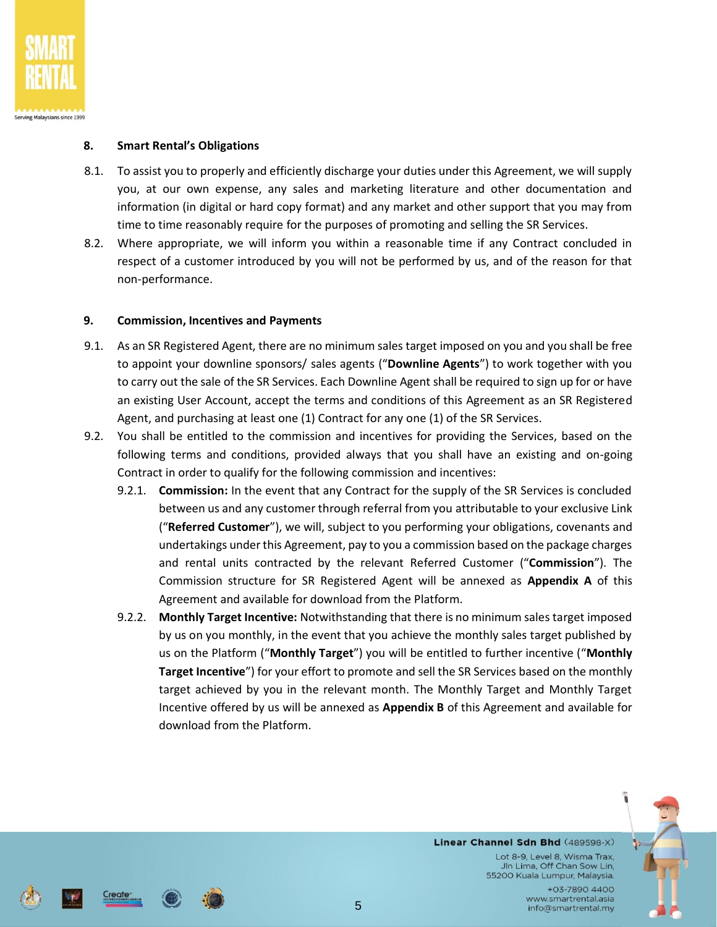

# **8. Smart Rental's Obligations**

- 8.1. To assist you to properly and efficiently discharge your duties under this Agreement, we will supply you, at our own expense, any sales and marketing literature and other documentation and information (in digital or hard copy format) and any market and other support that you may from time to time reasonably require for the purposes of promoting and selling the SR Services.
- 8.2. Where appropriate, we will inform you within a reasonable time if any Contract concluded in respect of a customer introduced by you will not be performed by us, and of the reason for that non-performance.

#### **9. Commission, Incentives and Payments**

- 9.1. As an SR Registered Agent, there are no minimum sales target imposed on you and you shall be free to appoint your downline sponsors/ sales agents ("**Downline Agents**") to work together with you to carry out the sale of the SR Services. Each Downline Agent shall be required to sign up for or have an existing User Account, accept the terms and conditions of this Agreement as an SR Registered Agent, and purchasing at least one (1) Contract for any one (1) of the SR Services.
- 9.2. You shall be entitled to the commission and incentives for providing the Services, based on the following terms and conditions, provided always that you shall have an existing and on-going Contract in order to qualify for the following commission and incentives:
	- 9.2.1. **Commission:** In the event that any Contract for the supply of the SR Services is concluded between us and any customer through referral from you attributable to your exclusive Link ("**Referred Customer**"), we will, subject to you performing your obligations, covenants and undertakings under this Agreement, pay to you a commission based on the package charges and rental units contracted by the relevant Referred Customer ("**Commission**"). The Commission structure for SR Registered Agent will be annexed as **Appendix A** of this Agreement and available for download from the Platform.
	- 9.2.2. **Monthly Target Incentive:** Notwithstanding that there is no minimum sales target imposed by us on you monthly, in the event that you achieve the monthly sales target published by us on the Platform ("**Monthly Target**") you will be entitled to further incentive ("**Monthly Target Incentive**") for your effort to promote and sell the SR Services based on the monthly target achieved by you in the relevant month. The Monthly Target and Monthly Target Incentive offered by us will be annexed as **Appendix B** of this Agreement and available for download from the Platform.



Linear Channel Sdn Bhd (489598-X)

Lot 8-9, Level 8, Wisma Trax, Jln Lima, Off Chan Sow Lin, 55200 Kuala Lumpur, Malaysia.

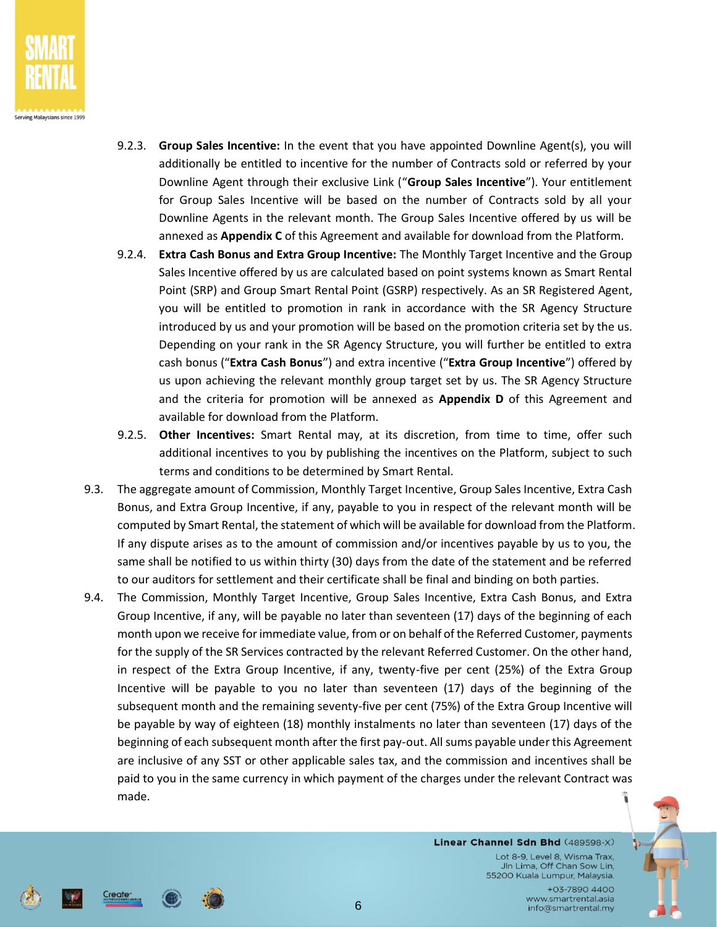

- 9.2.3. **Group Sales Incentive:** In the event that you have appointed Downline Agent(s), you will additionally be entitled to incentive for the number of Contracts sold or referred by your Downline Agent through their exclusive Link ("**Group Sales Incentive**"). Your entitlement for Group Sales Incentive will be based on the number of Contracts sold by all your Downline Agents in the relevant month. The Group Sales Incentive offered by us will be annexed as **Appendix C** of this Agreement and available for download from the Platform.
- 9.2.4. **Extra Cash Bonus and Extra Group Incentive:** The Monthly Target Incentive and the Group Sales Incentive offered by us are calculated based on point systems known as Smart Rental Point (SRP) and Group Smart Rental Point (GSRP) respectively. As an SR Registered Agent, you will be entitled to promotion in rank in accordance with the SR Agency Structure introduced by us and your promotion will be based on the promotion criteria set by the us. Depending on your rank in the SR Agency Structure, you will further be entitled to extra cash bonus ("**Extra Cash Bonus**") and extra incentive ("**Extra Group Incentive**") offered by us upon achieving the relevant monthly group target set by us. The SR Agency Structure and the criteria for promotion will be annexed as **Appendix D** of this Agreement and available for download from the Platform.
- 9.2.5. **Other Incentives:** Smart Rental may, at its discretion, from time to time, offer such additional incentives to you by publishing the incentives on the Platform, subject to such terms and conditions to be determined by Smart Rental.
- 9.3. The aggregate amount of Commission, Monthly Target Incentive, Group Sales Incentive, Extra Cash Bonus, and Extra Group Incentive, if any, payable to you in respect of the relevant month will be computed by Smart Rental, the statement of which will be available for download from the Platform. If any dispute arises as to the amount of commission and/or incentives payable by us to you, the same shall be notified to us within thirty (30) days from the date of the statement and be referred to our auditors for settlement and their certificate shall be final and binding on both parties.
- 9.4. The Commission, Monthly Target Incentive, Group Sales Incentive, Extra Cash Bonus, and Extra Group Incentive, if any, will be payable no later than seventeen (17) days of the beginning of each month upon we receive for immediate value, from or on behalf of the Referred Customer, payments for the supply of the SR Services contracted by the relevant Referred Customer. On the other hand, in respect of the Extra Group Incentive, if any, twenty-five per cent (25%) of the Extra Group Incentive will be payable to you no later than seventeen (17) days of the beginning of the subsequent month and the remaining seventy-five per cent (75%) of the Extra Group Incentive will be payable by way of eighteen (18) monthly instalments no later than seventeen (17) days of the beginning of each subsequent month after the first pay-out. All sums payable under this Agreement are inclusive of any SST or other applicable sales tax, and the commission and incentives shall be paid to you in the same currency in which payment of the charges under the relevant Contract was made.



Linear Channel Sdn Bhd (489598-X)

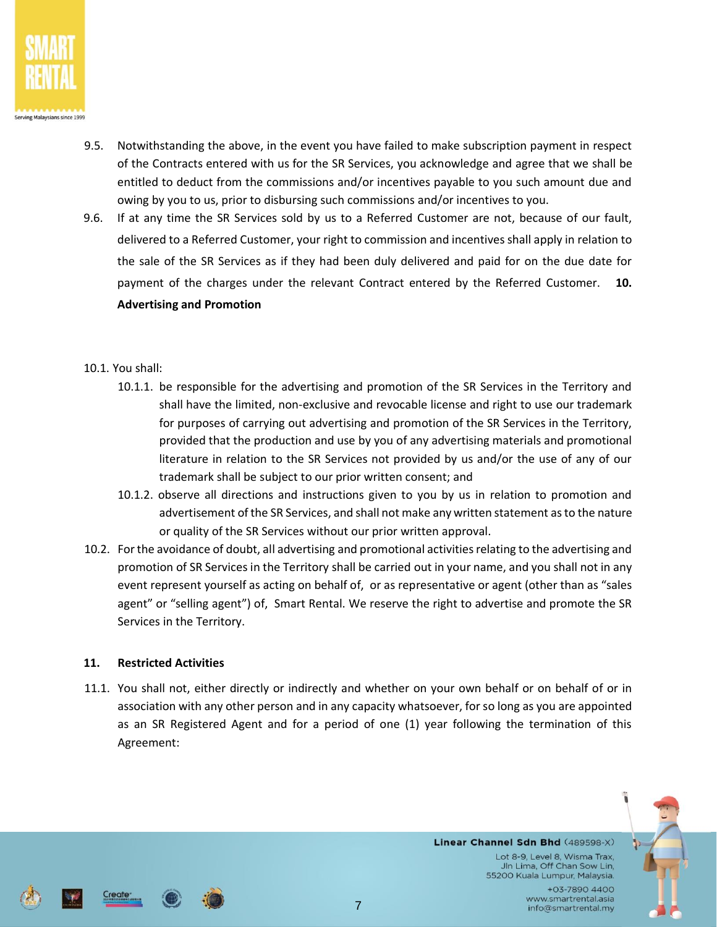

- 9.5. Notwithstanding the above, in the event you have failed to make subscription payment in respect of the Contracts entered with us for the SR Services, you acknowledge and agree that we shall be entitled to deduct from the commissions and/or incentives payable to you such amount due and owing by you to us, prior to disbursing such commissions and/or incentives to you.
- 9.6. If at any time the SR Services sold by us to a Referred Customer are not, because of our fault, delivered to a Referred Customer, your right to commission and incentives shall apply in relation to the sale of the SR Services as if they had been duly delivered and paid for on the due date for payment of the charges under the relevant Contract entered by the Referred Customer. **10. Advertising and Promotion**
- 10.1. You shall:
	- 10.1.1. be responsible for the advertising and promotion of the SR Services in the Territory and shall have the limited, non-exclusive and revocable license and right to use our trademark for purposes of carrying out advertising and promotion of the SR Services in the Territory, provided that the production and use by you of any advertising materials and promotional literature in relation to the SR Services not provided by us and/or the use of any of our trademark shall be subject to our prior written consent; and
	- 10.1.2. observe all directions and instructions given to you by us in relation to promotion and advertisement of the SR Services, and shall not make any written statement as to the nature or quality of the SR Services without our prior written approval.
- 10.2. Forthe avoidance of doubt, all advertising and promotional activities relating to the advertising and promotion of SR Services in the Territory shall be carried out in your name, and you shall not in any event represent yourself as acting on behalf of, or as representative or agent (other than as "sales agent" or "selling agent") of, Smart Rental. We reserve the right to advertise and promote the SR Services in the Territory.

# **11. Restricted Activities**

11.1. You shall not, either directly or indirectly and whether on your own behalf or on behalf of or in association with any other person and in any capacity whatsoever, for so long as you are appointed as an SR Registered Agent and for a period of one (1) year following the termination of this Agreement:



Linear Channel Sdn Bhd (489598-X)

Lot 8-9, Level 8, Wisma Trax, Jln Lima, Off Chan Sow Lin, 55200 Kuala Lumpur, Malaysia.

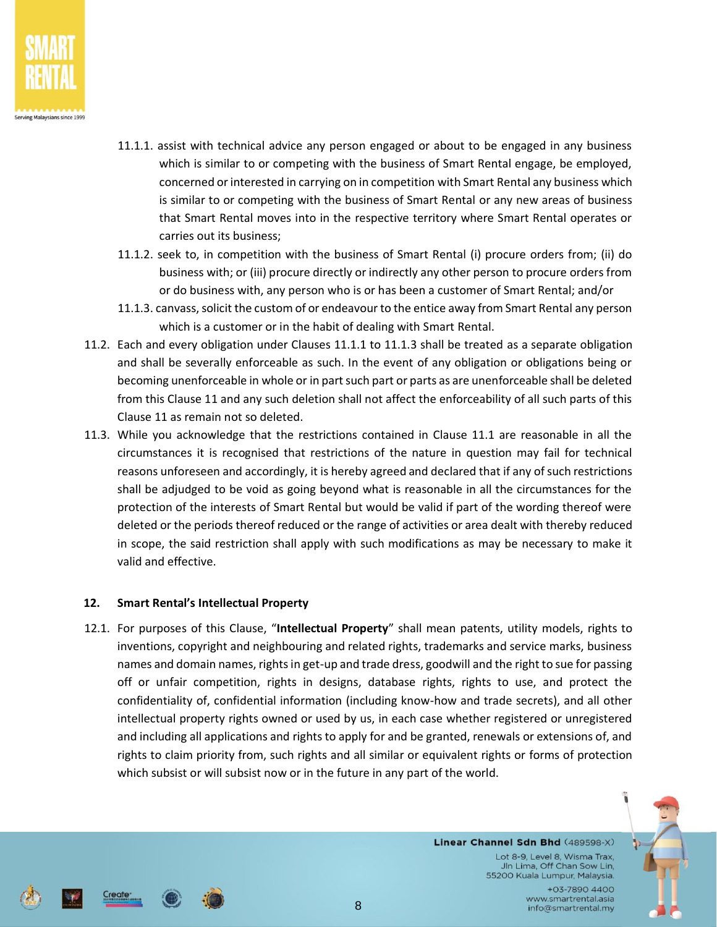

- 11.1.1. assist with technical advice any person engaged or about to be engaged in any business which is similar to or competing with the business of Smart Rental engage, be employed, concerned or interested in carrying on in competition with Smart Rental any business which is similar to or competing with the business of Smart Rental or any new areas of business that Smart Rental moves into in the respective territory where Smart Rental operates or carries out its business;
- 11.1.2. seek to, in competition with the business of Smart Rental (i) procure orders from; (ii) do business with; or (iii) procure directly or indirectly any other person to procure orders from or do business with, any person who is or has been a customer of Smart Rental; and/or
- 11.1.3. canvass, solicit the custom of or endeavour to the entice away from Smart Rental any person which is a customer or in the habit of dealing with Smart Rental.
- 11.2. Each and every obligation under Clauses 11.1.1 to 11.1.3 shall be treated as a separate obligation and shall be severally enforceable as such. In the event of any obligation or obligations being or becoming unenforceable in whole or in part such part or parts as are unenforceable shall be deleted from this Clause 11 and any such deletion shall not affect the enforceability of all such parts of this Clause 11 as remain not so deleted.
- 11.3. While you acknowledge that the restrictions contained in Clause 11.1 are reasonable in all the circumstances it is recognised that restrictions of the nature in question may fail for technical reasons unforeseen and accordingly, it is hereby agreed and declared that if any of such restrictions shall be adjudged to be void as going beyond what is reasonable in all the circumstances for the protection of the interests of Smart Rental but would be valid if part of the wording thereof were deleted or the periods thereof reduced or the range of activities or area dealt with thereby reduced in scope, the said restriction shall apply with such modifications as may be necessary to make it valid and effective.

# **12. Smart Rental's Intellectual Property**

12.1. For purposes of this Clause, "**Intellectual Property**" shall mean patents, utility models, rights to inventions, copyright and neighbouring and related rights, trademarks and service marks, business names and domain names, rights in get-up and trade dress, goodwill and the right to sue for passing off or unfair competition, rights in designs, database rights, rights to use, and protect the confidentiality of, confidential information (including know-how and trade secrets), and all other intellectual property rights owned or used by us, in each case whether registered or unregistered and including all applications and rights to apply for and be granted, renewals or extensions of, and rights to claim priority from, such rights and all similar or equivalent rights or forms of protection which subsist or will subsist now or in the future in any part of the world.





Lot 8-9, Level 8, Wisma Trax, Jln Lima, Off Chan Sow Lin, 55200 Kuala Lumpur, Malaysia.

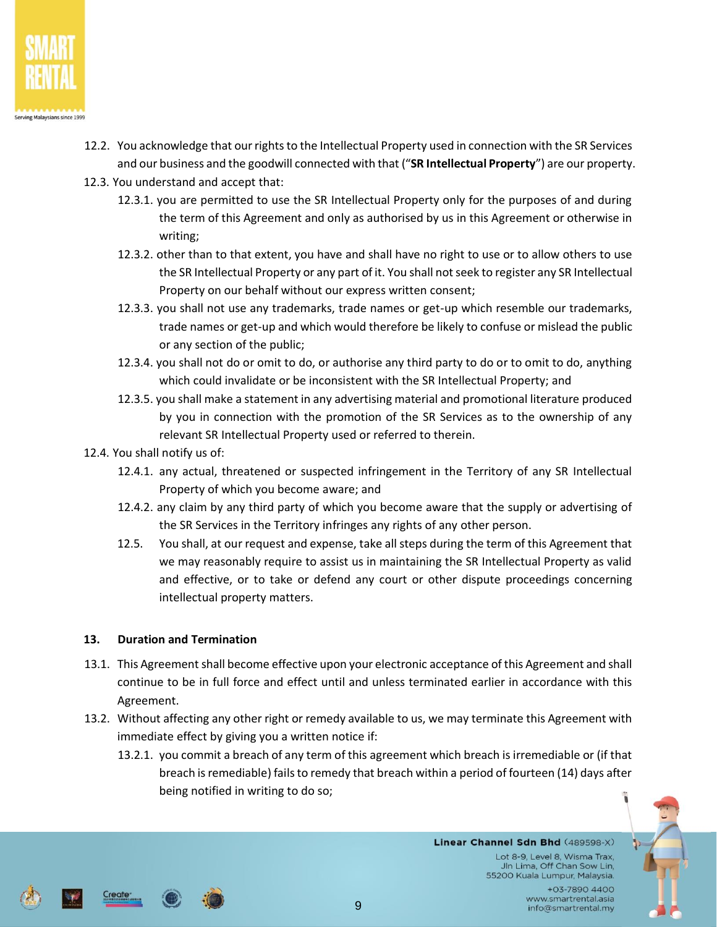

- 12.2. You acknowledge that our rights to the Intellectual Property used in connection with the SR Services and our business and the goodwill connected with that ("**SR Intellectual Property**") are our property.
- 12.3. You understand and accept that:
	- 12.3.1. you are permitted to use the SR Intellectual Property only for the purposes of and during the term of this Agreement and only as authorised by us in this Agreement or otherwise in writing;
	- 12.3.2. other than to that extent, you have and shall have no right to use or to allow others to use the SR Intellectual Property or any part of it. You shall not seek to register any SR Intellectual Property on our behalf without our express written consent;
	- 12.3.3. you shall not use any trademarks, trade names or get-up which resemble our trademarks, trade names or get-up and which would therefore be likely to confuse or mislead the public or any section of the public;
	- 12.3.4. you shall not do or omit to do, or authorise any third party to do or to omit to do, anything which could invalidate or be inconsistent with the SR Intellectual Property; and
	- 12.3.5. you shall make a statement in any advertising material and promotional literature produced by you in connection with the promotion of the SR Services as to the ownership of any relevant SR Intellectual Property used or referred to therein.
- 12.4. You shall notify us of:
	- 12.4.1. any actual, threatened or suspected infringement in the Territory of any SR Intellectual Property of which you become aware; and
	- 12.4.2. any claim by any third party of which you become aware that the supply or advertising of the SR Services in the Territory infringes any rights of any other person.
	- 12.5. You shall, at our request and expense, take all steps during the term of this Agreement that we may reasonably require to assist us in maintaining the SR Intellectual Property as valid and effective, or to take or defend any court or other dispute proceedings concerning intellectual property matters.

# **13. Duration and Termination**

- 13.1. This Agreement shall become effective upon your electronic acceptance of this Agreement and shall continue to be in full force and effect until and unless terminated earlier in accordance with this Agreement.
- 13.2. Without affecting any other right or remedy available to us, we may terminate this Agreement with immediate effect by giving you a written notice if:
	- 13.2.1. you commit a breach of any term of this agreement which breach is irremediable or (if that breach is remediable) fails to remedy that breach within a period of fourteen (14) days after being notified in writing to do so;



Linear Channel Sdn Bhd (489598-X)

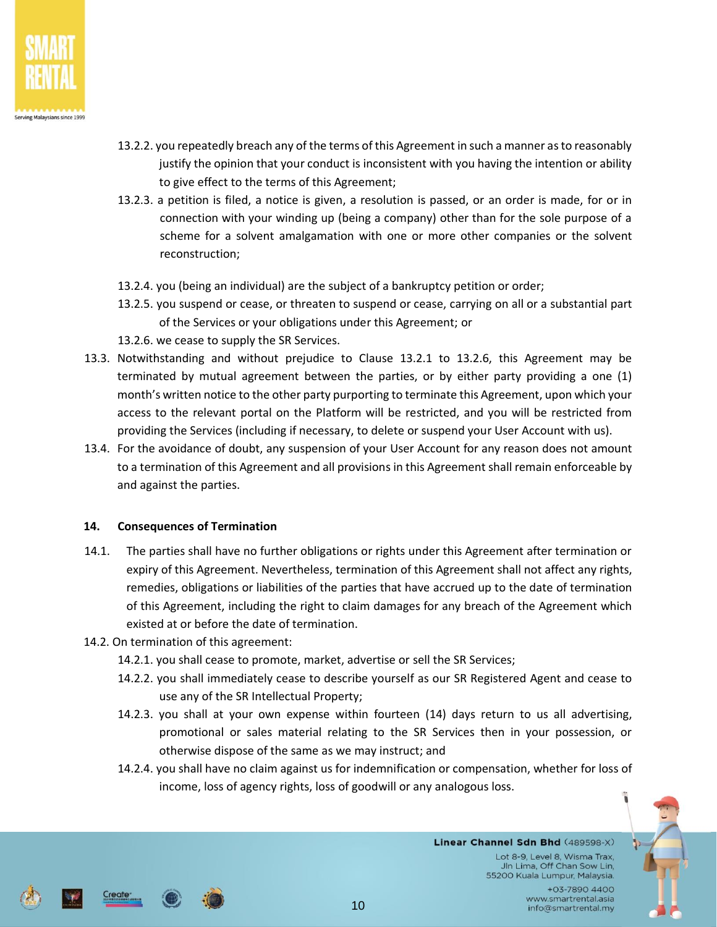

- 13.2.2. you repeatedly breach any of the terms of this Agreement in such a manner as to reasonably justify the opinion that your conduct is inconsistent with you having the intention or ability to give effect to the terms of this Agreement;
- 13.2.3. a petition is filed, a notice is given, a resolution is passed, or an order is made, for or in connection with your winding up (being a company) other than for the sole purpose of a scheme for a solvent amalgamation with one or more other companies or the solvent reconstruction;
- 13.2.4. you (being an individual) are the subject of a bankruptcy petition or order;
- 13.2.5. you suspend or cease, or threaten to suspend or cease, carrying on all or a substantial part of the Services or your obligations under this Agreement; or
- 13.2.6. we cease to supply the SR Services.
- 13.3. Notwithstanding and without prejudice to Clause 13.2.1 to 13.2.6, this Agreement may be terminated by mutual agreement between the parties, or by either party providing a one (1) month's written notice to the other party purporting to terminate this Agreement, upon which your access to the relevant portal on the Platform will be restricted, and you will be restricted from providing the Services (including if necessary, to delete or suspend your User Account with us).
- 13.4. For the avoidance of doubt, any suspension of your User Account for any reason does not amount to a termination of this Agreement and all provisions in this Agreement shall remain enforceable by and against the parties.

#### **14. Consequences of Termination**

- 14.1. The parties shall have no further obligations or rights under this Agreement after termination or expiry of this Agreement. Nevertheless, termination of this Agreement shall not affect any rights, remedies, obligations or liabilities of the parties that have accrued up to the date of termination of this Agreement, including the right to claim damages for any breach of the Agreement which existed at or before the date of termination.
- 14.2. On termination of this agreement:
	- 14.2.1. you shall cease to promote, market, advertise or sell the SR Services;
	- 14.2.2. you shall immediately cease to describe yourself as our SR Registered Agent and cease to use any of the SR Intellectual Property;
	- 14.2.3. you shall at your own expense within fourteen (14) days return to us all advertising, promotional or sales material relating to the SR Services then in your possession, or otherwise dispose of the same as we may instruct; and
	- 14.2.4. you shall have no claim against us for indemnification or compensation, whether for loss of income, loss of agency rights, loss of goodwill or any analogous loss.



Linear Channel Sdn Bhd (489598-X)

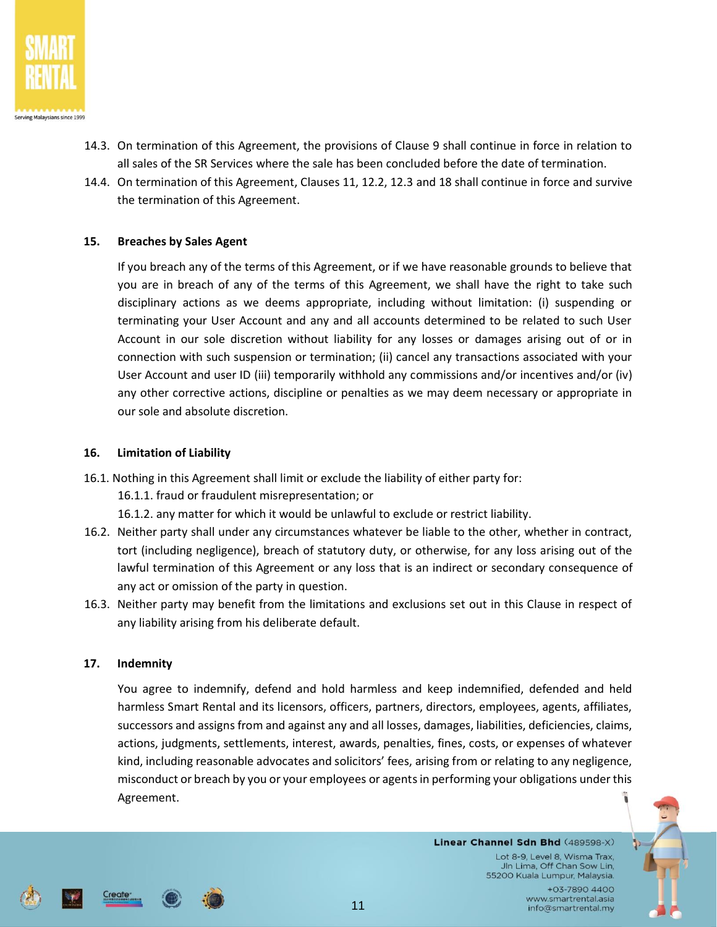

- 14.3. On termination of this Agreement, the provisions of Clause 9 shall continue in force in relation to all sales of the SR Services where the sale has been concluded before the date of termination.
- 14.4. On termination of this Agreement, Clauses 11, 12.2, 12.3 and 18 shall continue in force and survive the termination of this Agreement.

### **15. Breaches by Sales Agent**

If you breach any of the terms of this Agreement, or if we have reasonable grounds to believe that you are in breach of any of the terms of this Agreement, we shall have the right to take such disciplinary actions as we deems appropriate, including without limitation: (i) suspending or terminating your User Account and any and all accounts determined to be related to such User Account in our sole discretion without liability for any losses or damages arising out of or in connection with such suspension or termination; (ii) cancel any transactions associated with your User Account and user ID (iii) temporarily withhold any commissions and/or incentives and/or (iv) any other corrective actions, discipline or penalties as we may deem necessary or appropriate in our sole and absolute discretion.

#### **16. Limitation of Liability**

- 16.1. Nothing in this Agreement shall limit or exclude the liability of either party for:
	- 16.1.1. fraud or fraudulent misrepresentation; or
	- 16.1.2. any matter for which it would be unlawful to exclude or restrict liability.
- 16.2. Neither party shall under any circumstances whatever be liable to the other, whether in contract, tort (including negligence), breach of statutory duty, or otherwise, for any loss arising out of the lawful termination of this Agreement or any loss that is an indirect or secondary consequence of any act or omission of the party in question.
- 16.3. Neither party may benefit from the limitations and exclusions set out in this Clause in respect of any liability arising from his deliberate default.

#### **17. Indemnity**

You agree to indemnify, defend and hold harmless and keep indemnified, defended and held harmless Smart Rental and its licensors, officers, partners, directors, employees, agents, affiliates, successors and assigns from and against any and all losses, damages, liabilities, deficiencies, claims, actions, judgments, settlements, interest, awards, penalties, fines, costs, or expenses of whatever kind, including reasonable advocates and solicitors' fees, arising from or relating to any negligence, misconduct or breach by you or your employees or agents in performing your obligations under this Agreement.



Linear Channel Sdn Bhd (489598-X) Lot 8-9, Level 8, Wisma Trax,

info@smartrental.my

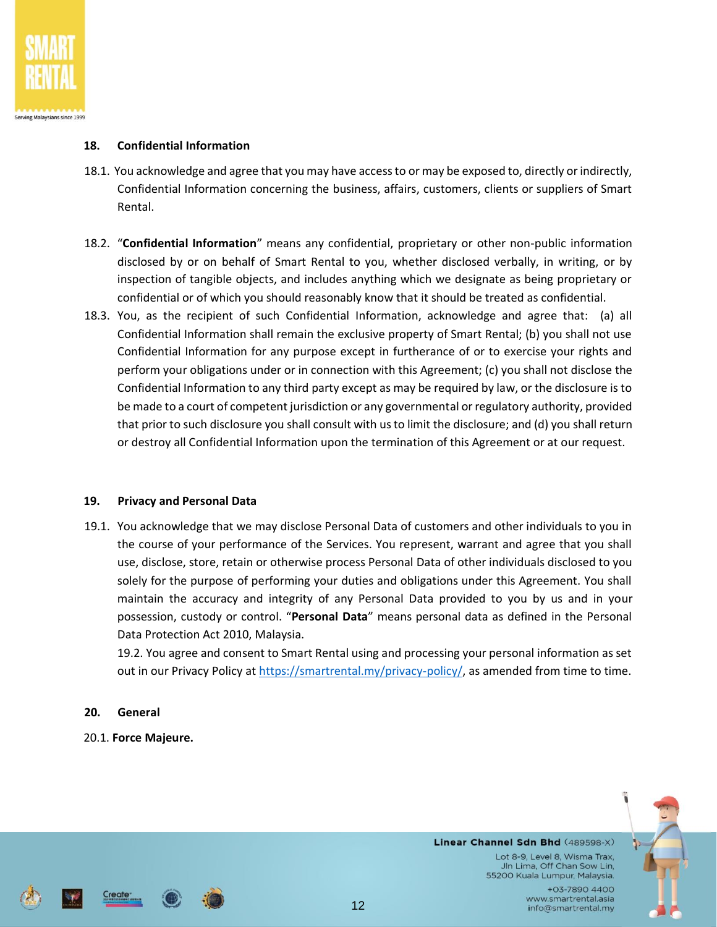

#### **18. Confidential Information**

- 18.1. You acknowledge and agree that you may have access to or may be exposed to, directly or indirectly, Confidential Information concerning the business, affairs, customers, clients or suppliers of Smart Rental.
- 18.2. "**Confidential Information**" means any confidential, proprietary or other non-public information disclosed by or on behalf of Smart Rental to you, whether disclosed verbally, in writing, or by inspection of tangible objects, and includes anything which we designate as being proprietary or confidential or of which you should reasonably know that it should be treated as confidential.
- 18.3. You, as the recipient of such Confidential Information, acknowledge and agree that: (a) all Confidential Information shall remain the exclusive property of Smart Rental; (b) you shall not use Confidential Information for any purpose except in furtherance of or to exercise your rights and perform your obligations under or in connection with this Agreement; (c) you shall not disclose the Confidential Information to any third party except as may be required by law, or the disclosure is to be made to a court of competent jurisdiction or any governmental or regulatory authority, provided that prior to such disclosure you shall consult with us to limit the disclosure; and (d) you shall return or destroy all Confidential Information upon the termination of this Agreement or at our request.

#### **19. Privacy and Personal Data**

19.1. You acknowledge that we may disclose Personal Data of customers and other individuals to you in the course of your performance of the Services. You represent, warrant and agree that you shall use, disclose, store, retain or otherwise process Personal Data of other individuals disclosed to you solely for the purpose of performing your duties and obligations under this Agreement. You shall maintain the accuracy and integrity of any Personal Data provided to you by us and in your possession, custody or control. "**Personal Data**" means personal data as defined in the Personal Data Protection Act 2010, Malaysia.

19.2. You agree and consent to Smart Rental using and processing your personal information as set out in our Privacy Policy at [https://smartrental.my/privacy-policy/,](https://www.hungry2u.com/web/index.html#/privacypolicy) as amended from time to time.

#### **20. General**

20.1. **Force Majeure.**



Linear Channel Sdn Bhd (489598-X)

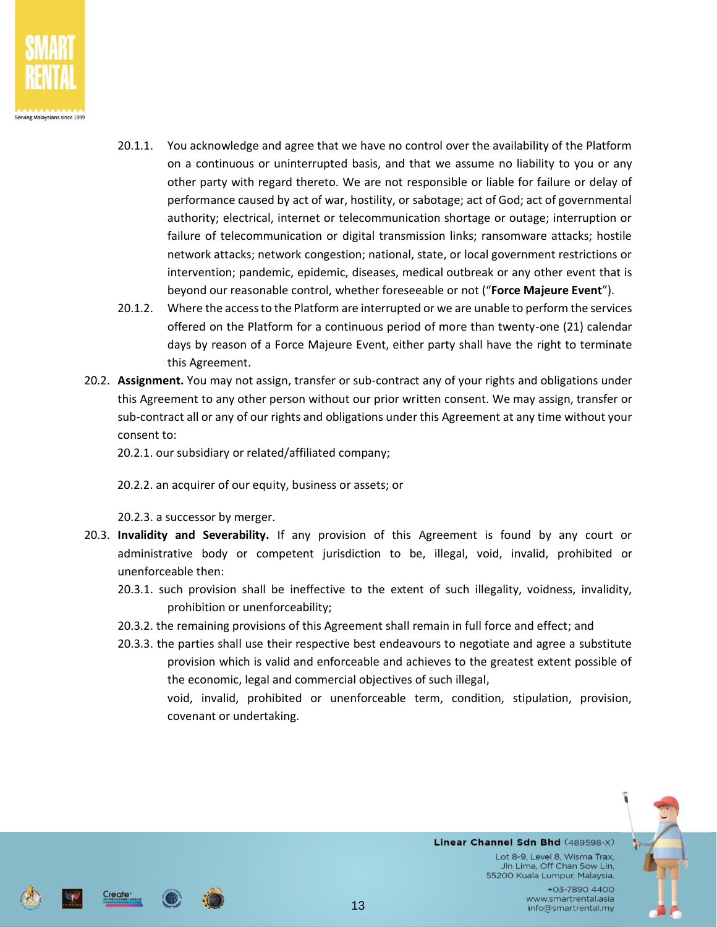

- 20.1.1. You acknowledge and agree that we have no control over the availability of the Platform on a continuous or uninterrupted basis, and that we assume no liability to you or any other party with regard thereto. We are not responsible or liable for failure or delay of performance caused by act of war, hostility, or sabotage; act of God; act of governmental authority; electrical, internet or telecommunication shortage or outage; interruption or failure of telecommunication or digital transmission links; ransomware attacks; hostile network attacks; network congestion; national, state, or local government restrictions or intervention; pandemic, epidemic, diseases, medical outbreak or any other event that is beyond our reasonable control, whether foreseeable or not ("**Force Majeure Event**").
- 20.1.2. Where the access to the Platform are interrupted or we are unable to perform the services offered on the Platform for a continuous period of more than twenty-one (21) calendar days by reason of a Force Majeure Event, either party shall have the right to terminate this Agreement.
- 20.2. **Assignment.** You may not assign, transfer or sub-contract any of your rights and obligations under this Agreement to any other person without our prior written consent. We may assign, transfer or sub-contract all or any of our rights and obligations under this Agreement at any time without your consent to:

20.2.1. our subsidiary or related/affiliated company;

20.2.2. an acquirer of our equity, business or assets; or

20.2.3. a successor by merger.

- 20.3. **Invalidity and Severability.** If any provision of this Agreement is found by any court or administrative body or competent jurisdiction to be, illegal, void, invalid, prohibited or unenforceable then:
	- 20.3.1. such provision shall be ineffective to the extent of such illegality, voidness, invalidity, prohibition or unenforceability;
	- 20.3.2. the remaining provisions of this Agreement shall remain in full force and effect; and
	- 20.3.3. the parties shall use their respective best endeavours to negotiate and agree a substitute provision which is valid and enforceable and achieves to the greatest extent possible of the economic, legal and commercial objectives of such illegal,

void, invalid, prohibited or unenforceable term, condition, stipulation, provision, covenant or undertaking.



Linear Channel Sdn Bhd (489598-X)

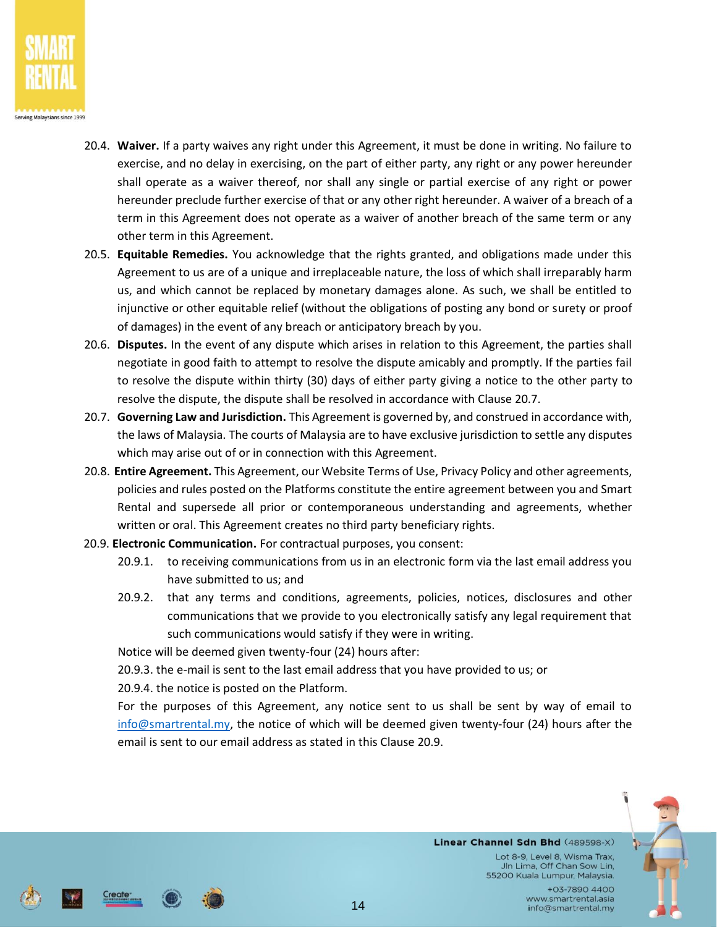

- 20.4. **Waiver.** If a party waives any right under this Agreement, it must be done in writing. No failure to exercise, and no delay in exercising, on the part of either party, any right or any power hereunder shall operate as a waiver thereof, nor shall any single or partial exercise of any right or power hereunder preclude further exercise of that or any other right hereunder. A waiver of a breach of a term in this Agreement does not operate as a waiver of another breach of the same term or any other term in this Agreement.
- 20.5. **Equitable Remedies.** You acknowledge that the rights granted, and obligations made under this Agreement to us are of a unique and irreplaceable nature, the loss of which shall irreparably harm us, and which cannot be replaced by monetary damages alone. As such, we shall be entitled to injunctive or other equitable relief (without the obligations of posting any bond or surety or proof of damages) in the event of any breach or anticipatory breach by you.
- 20.6. **Disputes.** In the event of any dispute which arises in relation to this Agreement, the parties shall negotiate in good faith to attempt to resolve the dispute amicably and promptly. If the parties fail to resolve the dispute within thirty (30) days of either party giving a notice to the other party to resolve the dispute, the dispute shall be resolved in accordance with Clause 20.7.
- 20.7. **Governing Law and Jurisdiction.** This Agreement is governed by, and construed in accordance with, the laws of Malaysia. The courts of Malaysia are to have exclusive jurisdiction to settle any disputes which may arise out of or in connection with this Agreement.
- 20.8. **Entire Agreement.** This Agreement, our Website Terms of Use, Privacy Policy and other agreements, policies and rules posted on the Platforms constitute the entire agreement between you and Smart Rental and supersede all prior or contemporaneous understanding and agreements, whether written or oral. This Agreement creates no third party beneficiary rights.
- 20.9. **Electronic Communication.** For contractual purposes, you consent:
	- 20.9.1. to receiving communications from us in an electronic form via the last email address you have submitted to us; and
	- 20.9.2. that any terms and conditions, agreements, policies, notices, disclosures and other communications that we provide to you electronically satisfy any legal requirement that such communications would satisfy if they were in writing.

Notice will be deemed given twenty-four (24) hours after:

20.9.3. the e-mail is sent to the last email address that you have provided to us; or

20.9.4. the notice is posted on the Platform.

For the purposes of this Agreement, any notice sent to us shall be sent by way of email to info@smartrental.my, the notice of which will be deemed given twenty-four (24) hours after the email is sent to our email address as stated in this Clause 20.9.



Linear Channel Sdn Bhd (489598-X)

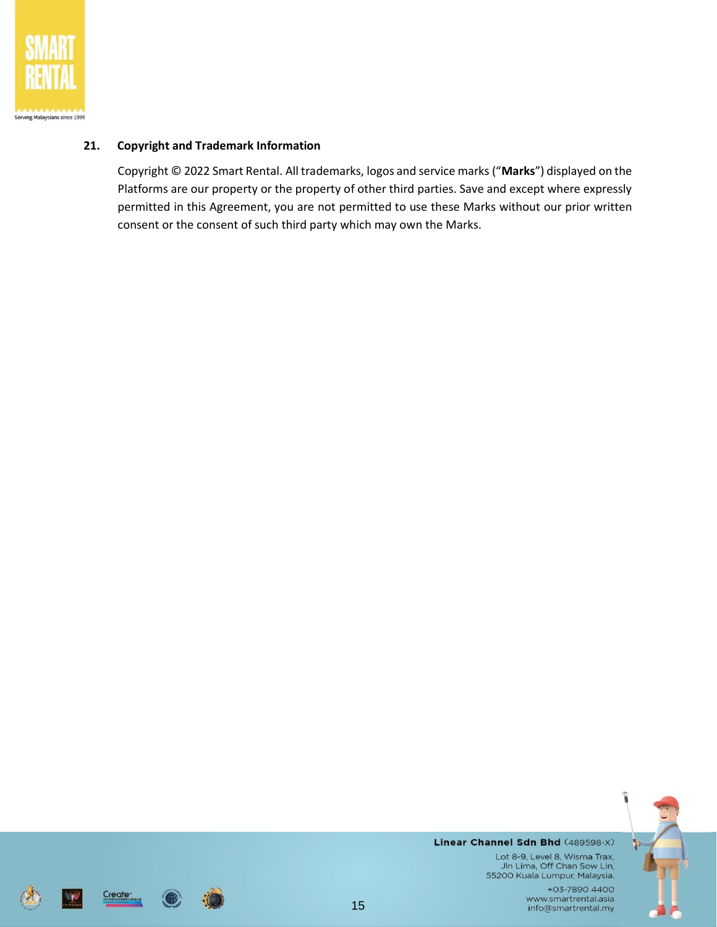

# **21. Copyright and Trademark Information**

Copyright © 2022 Smart Rental. All trademarks, logos and service marks ("**Marks**") displayed on the Platforms are our property or the property of other third parties. Save and except where expressly permitted in this Agreement, you are not permitted to use these Marks without our prior written consent or the consent of such third party which may own the Marks.



#### Linear Channel Sdn Bhd (489598-X)

Lot 8-9, Level 8, Wisma Trax, Jln Lima, Off Chan Sow Lin, 55200 Kuala Lumpur, Malaysia.



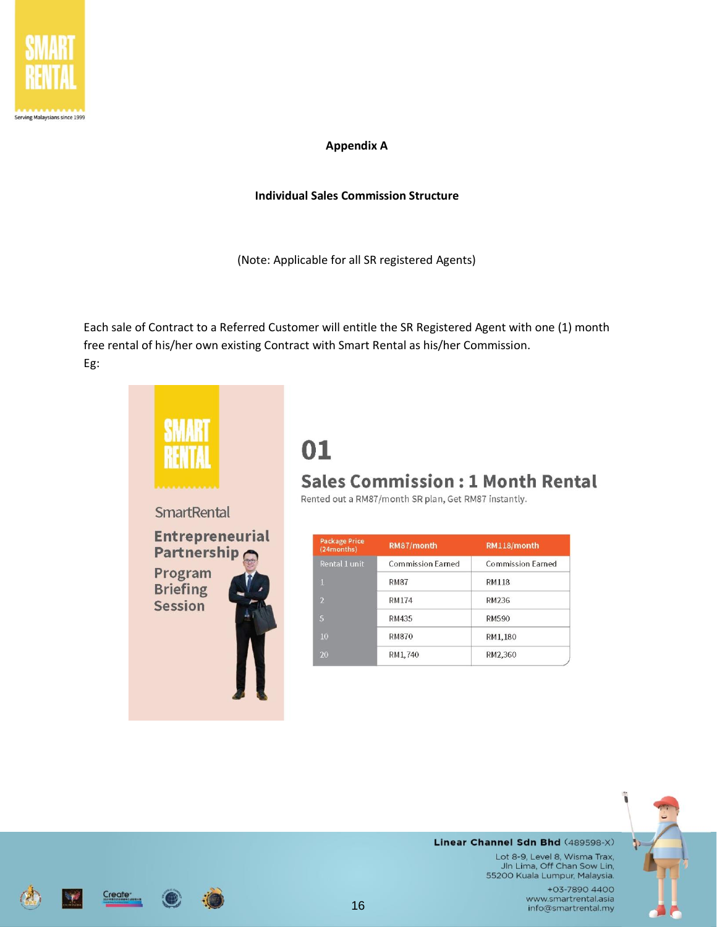

# **Appendix A**

### **Individual Sales Commission Structure**

(Note: Applicable for all SR registered Agents)

Each sale of Contract to a Referred Customer will entitle the SR Registered Agent with one (1) month free rental of his/her own existing Contract with Smart Rental as his/her Commission. Eg:



# 01

# **Sales Commission: 1 Month Rental**

Rented out a RM87/month SR plan, Get RM87 instantly.

| Package Price<br>24months) | RM87/month               | RM118/month              |  |
|----------------------------|--------------------------|--------------------------|--|
| Rental 1 unit              | <b>Commission Earned</b> | <b>Commission Earned</b> |  |
|                            | <b>RM87</b>              | <b>RM118</b>             |  |
| 2                          | <b>RM174</b>             | RM236                    |  |
| 5                          | RM435                    | <b>RM590</b>             |  |
| $\overline{10}$            | <b>RM870</b>             | RM1,180                  |  |
| $\overline{20}$            | RM1,740                  | RM2,360                  |  |



Linear Channel Sdn Bhd (489598-X)

Lot 8-9, Level 8, Wisma Trax, Jln Lima, Off Chan Sow Lin, 55200 Kuala Lumpur, Malaysia.

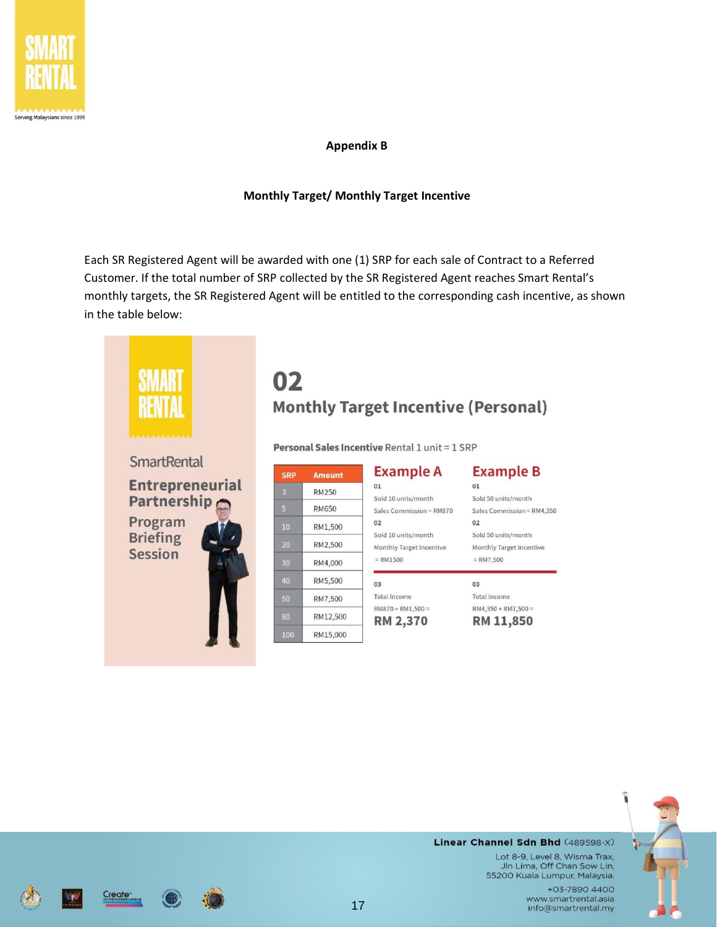

### **Appendix B**

#### **Monthly Target/ Monthly Target Incentive**

Each SR Registered Agent will be awarded with one (1) SRP for each sale of Contract to a Referred Customer. If the total number of SRP collected by the SR Registered Agent reaches Smart Rental's monthly targets, the SR Registered Agent will be entitled to the corresponding cash incentive, as shown in the table below:



# 02 **Monthly Target Incentive (Personal)**

Personal Sales Incentive Rental 1 unit = 1 SRP

SRP

| <b>Amount</b>                                      | <b>Example A</b>                                                                                                             | Ex                                                       |
|----------------------------------------------------|------------------------------------------------------------------------------------------------------------------------------|----------------------------------------------------------|
| <b>RM250</b><br><b>RM650</b><br>RM1,500<br>RM2,500 | 01<br>Sold 10 units/month<br>Sales Commission = RM870<br>02<br>Sold 10 units/month<br>Monthly Target Incentive<br>$=$ RM1500 | 01<br>Sold 5<br>Sales<br>02<br>Sold 5<br>Monti<br>$=$ RM |
| RM4,000<br>RM5,500<br>RM7,500<br>RM12,500          | 03<br>Total Income<br>$RM870 + RM1,500 =$<br><b>RM 2,370</b>                                                                 | 03<br>Total<br>RM4.3<br>RM                               |
| RM15,000                                           |                                                                                                                              |                                                          |

# ample B

50 units/month Commission = RM4,350 50 units/month hly Target Incentive 7,500

Income  $350 + RM7,500 =$ 

111,850

![](_page_16_Picture_12.jpeg)

#### Linear Channel Sdn Bhd (489598-X)

Lot 8-9, Level 8, Wisma Trax, Jln Lima, Off Chan Sow Lin, 55200 Kuala Lumpur, Malaysia.

![](_page_16_Picture_16.jpeg)

![](_page_16_Picture_18.jpeg)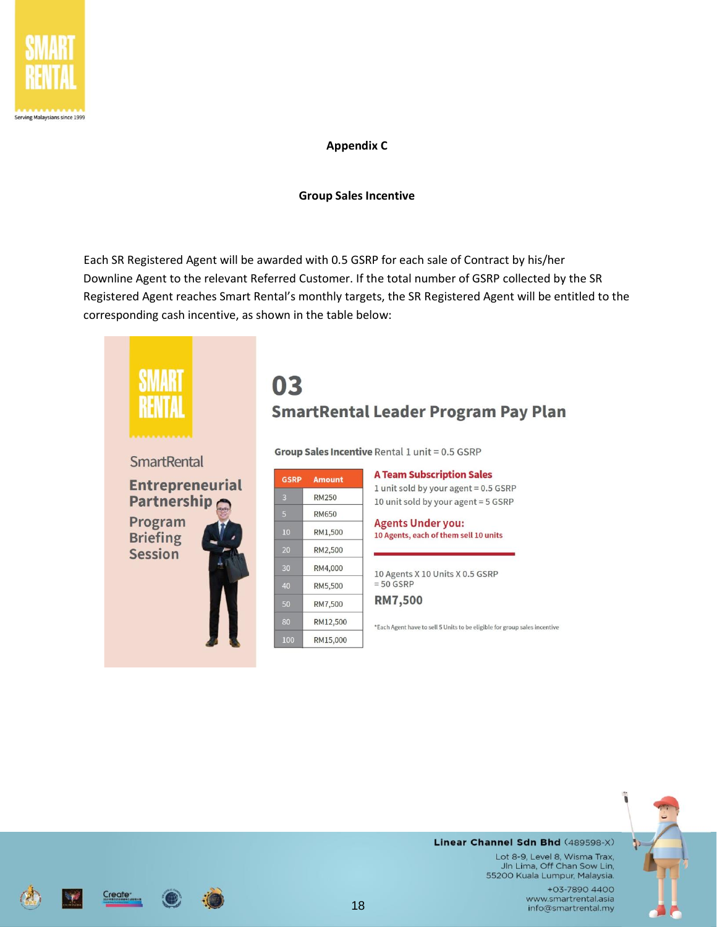![](_page_17_Picture_0.jpeg)

### **Appendix C**

#### **Group Sales Incentive**

Each SR Registered Agent will be awarded with 0.5 GSRP for each sale of Contract by his/her Downline Agent to the relevant Referred Customer. If the total number of GSRP collected by the SR Registered Agent reaches Smart Rental's monthly targets, the SR Registered Agent will be entitled to the corresponding cash incentive, as shown in the table below:

![](_page_17_Picture_4.jpeg)

# 03 **SmartRental Leader Program Pay Plan**

Group Sales Incentive Rental 1 unit = 0.5 GSRP

| <b>GSRP</b> | <b>Amount</b> |
|-------------|---------------|
| B           | RM250         |
| 5           | <b>RM650</b>  |
| 10          | RM1,500       |
| 20          | RM2,500       |
| 30          | RM4,000       |
| 40          | RM5,500       |
| 50          | RM7,500       |
| 80          | RM12,500      |
| 100         | RM15,000      |

#### **A Team Subscription Sales** 1 unit sold by your agent = 0.5 GSRP 10 unit sold by your agent = 5 GSRP

**Agents Under you:** 10 Agents, each of them sell 10 units

10 Agents X 10 Units X 0.5 GSRP  $= 50$  GSRP

**RM7,500** 

\*Each Agent have to sell 5 Units to be eligible for group sales incentive

![](_page_17_Picture_13.jpeg)

#### Linear Channel Sdn Bhd (489598-X)

Lot 8-9, Level 8, Wisma Trax, Jln Lima, Off Chan Sow Lin, 55200 Kuala Lumpur, Malaysia.

![](_page_17_Picture_17.jpeg)

![](_page_17_Picture_18.jpeg)